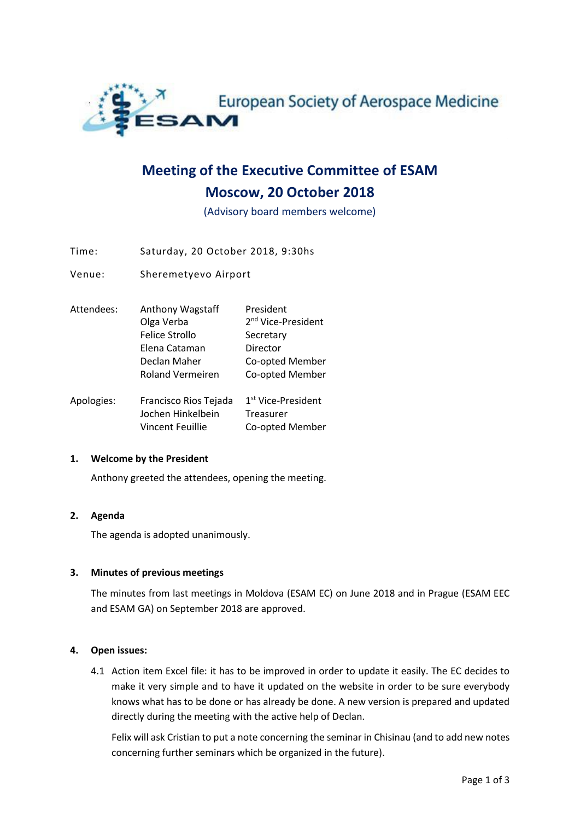

# **Meeting of the Executive Committee of ESAM Moscow, 20 October 2018**

(Advisory board members welcome)

Time: Saturday, 20 October 2018, 9:30hs

Venue: Sheremetyevo Airport

| Attendees: | Anthony Wagstaff        | President                      |
|------------|-------------------------|--------------------------------|
|            | Olga Verba              | 2 <sup>nd</sup> Vice-President |
|            | Felice Strollo          | Secretary                      |
|            | Elena Cataman           | Director                       |
|            | Declan Maher            | Co-opted Member                |
|            | <b>Roland Vermeiren</b> | Co-opted Member                |
|            |                         |                                |
| Anologies: | Erancisco Rios Taiada   | 1st Vice-Drocidont             |

| Apologies: | Francisco Rios Tejada | 1 <sup>st</sup> Vice-President |
|------------|-----------------------|--------------------------------|
|            | Jochen Hinkelbein     | Treasurer                      |
|            | Vincent Feuillie      | Co-opted Member                |

#### **1. Welcome by the President**

Anthony greeted the attendees, opening the meeting.

#### **2. Agenda**

The agenda is adopted unanimously.

#### **3. Minutes of previous meetings**

The minutes from last meetings in Moldova (ESAM EC) on June 2018 and in Prague (ESAM EEC and ESAM GA) on September 2018 are approved.

#### **4. Open issues:**

4.1 Action item Excel file: it has to be improved in order to update it easily. The EC decides to make it very simple and to have it updated on the website in order to be sure everybody knows what has to be done or has already be done. A new version is prepared and updated directly during the meeting with the active help of Declan.

Felix will ask Cristian to put a note concerning the seminar in Chisinau (and to add new notes concerning further seminars which be organized in the future).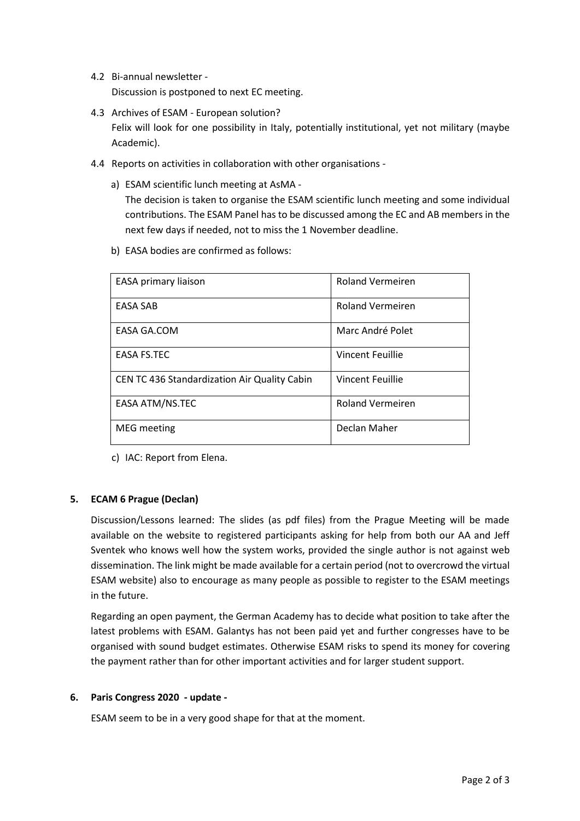4.2 Bi-annual newsletter -

Discussion is postponed to next EC meeting.

- 4.3 Archives of ESAM European solution? Felix will look for one possibility in Italy, potentially institutional, yet not military (maybe Academic).
- 4.4 Reports on activities in collaboration with other organisations
	- a) ESAM scientific lunch meeting at AsMA -

The decision is taken to organise the ESAM scientific lunch meeting and some individual contributions. The ESAM Panel has to be discussed among the EC and AB members in the next few days if needed, not to miss the 1 November deadline.

b) EASA bodies are confirmed as follows:

| EASA primary liaison                                | <b>Roland Vermeiren</b> |
|-----------------------------------------------------|-------------------------|
| EASA SAB                                            | <b>Roland Vermeiren</b> |
| EASA GA.COM                                         | Marc André Polet        |
| <b>EASA FS.TEC</b>                                  | Vincent Feuillie        |
| <b>CEN TC 436 Standardization Air Quality Cabin</b> | Vincent Feuillie        |
| EASA ATM/NS.TEC                                     | <b>Roland Vermeiren</b> |
| <b>MEG</b> meeting                                  | Declan Maher            |

c) IAC: Report from Elena.

#### **5. ECAM 6 Prague (Declan)**

Discussion/Lessons learned: The slides (as pdf files) from the Prague Meeting will be made available on the website to registered participants asking for help from both our AA and Jeff Sventek who knows well how the system works, provided the single author is not against web dissemination. The link might be made available for a certain period (not to overcrowd the virtual ESAM website) also to encourage as many people as possible to register to the ESAM meetings in the future.

Regarding an open payment, the German Academy has to decide what position to take after the latest problems with ESAM. Galantys has not been paid yet and further congresses have to be organised with sound budget estimates. Otherwise ESAM risks to spend its money for covering the payment rather than for other important activities and for larger student support.

#### **6. Paris Congress 2020 - update -**

ESAM seem to be in a very good shape for that at the moment.